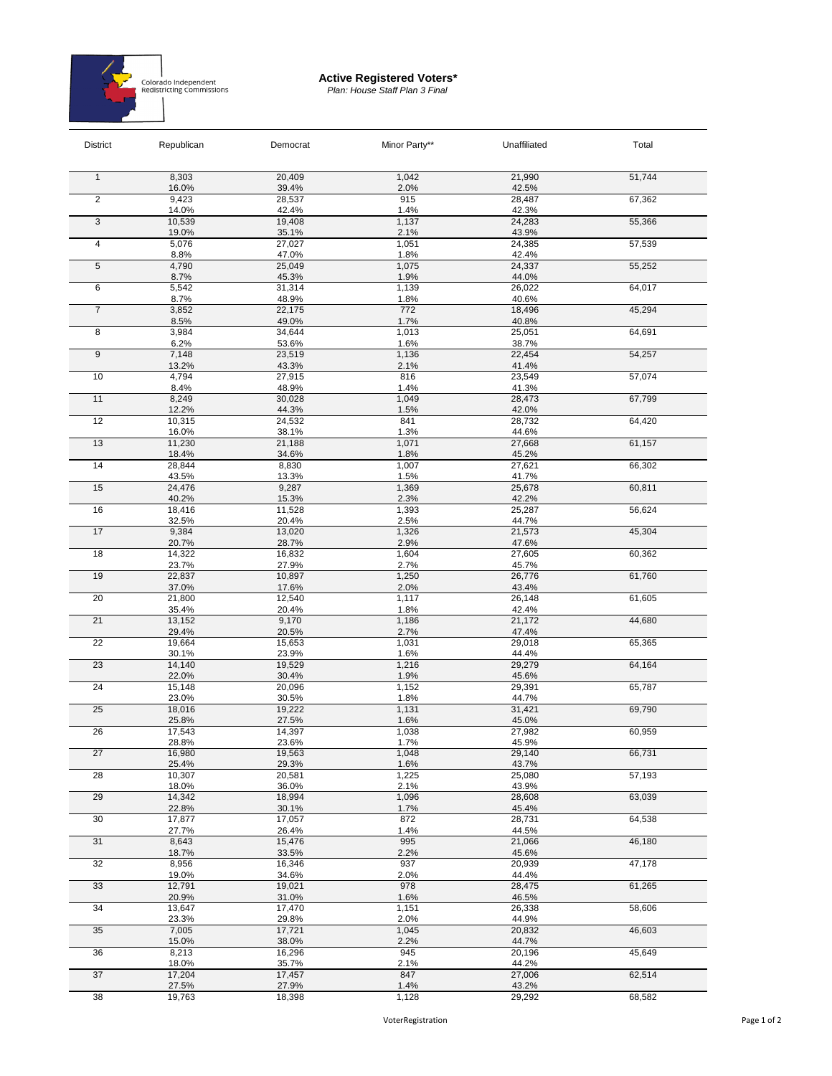

## **Active Registered Voters\*** *Plan: House Staff Plan 3 Final*

| <b>District</b> | Republican      | Democrat        | Minor Party** | Unaffiliated    | Total  |
|-----------------|-----------------|-----------------|---------------|-----------------|--------|
| $\mathbf{1}$    | 8,303           | 20,409          | 1,042         | 21,990          | 51,744 |
|                 | 16.0%           | 39.4%           | 2.0%          | 42.5%           |        |
| $\overline{2}$  | 9,423           | 28,537          | 915           | 28,487          | 67,362 |
|                 | 14.0%<br>10,539 | 42.4%<br>19,408 | 1.4%<br>1,137 | 42.3%<br>24,283 | 55,366 |
| 3               | 19.0%           | 35.1%           | 2.1%          | 43.9%           |        |
| 4               | 5,076           | 27,027          | 1,051         | 24,385          | 57,539 |
|                 | 8.8%            | 47.0%           | 1.8%          | 42.4%           |        |
| 5               | 4,790           | 25,049          | 1,075         | 24,337          | 55,252 |
|                 | 8.7%            | 45.3%           | 1.9%          | 44.0%           |        |
| 6               | 5,542<br>8.7%   | 31,314<br>48.9% | 1,139<br>1.8% | 26,022<br>40.6% | 64,017 |
| $\overline{7}$  | 3,852           | 22,175          | 772           | 18,496          | 45,294 |
|                 | 8.5%            | 49.0%           | 1.7%          | 40.8%           |        |
| 8               | 3,984           | 34,644          | 1,013         | 25,051          | 64,691 |
|                 | 6.2%            | 53.6%           | 1.6%          | 38.7%           |        |
| $\overline{9}$  | 7,148           | 23,519          | 1,136         | 22,454          | 54,257 |
|                 | 13.2%<br>4,794  | 43.3%<br>27,915 | 2.1%<br>816   | 41.4%<br>23,549 | 57,074 |
| 10<br>11        | 8.4%            | 48.9%           | 1.4%          | 41.3%           |        |
|                 | 8,249           | 30,028          | 1,049         | 28,473          | 67,799 |
|                 | 12.2%           | 44.3%           | 1.5%          | 42.0%           |        |
| 12              | 10,315          | 24,532          | 841           | 28,732          | 64,420 |
| 13<br>14        | 16.0%           | 38.1%           | 1.3%          | 44.6%           |        |
|                 | 11,230          | 21,188<br>34.6% | 1,071<br>1.8% | 27,668<br>45.2% | 61,157 |
|                 | 18.4%<br>28,844 | 8,830           | 1,007         | 27,621          | 66,302 |
|                 | 43.5%           | 13.3%           | 1.5%          | 41.7%           |        |
| 15              | 24,476          | 9,287           | 1,369         | 25,678          | 60,811 |
|                 | 40.2%           | 15.3%           | 2.3%          | 42.2%           |        |
| 16              | 18,416          | 11,528          | 1,393         | 25,287          | 56,624 |
|                 | 32.5%           | 20.4%           | 2.5%          | 44.7%           |        |
| 17              | 9,384<br>20.7%  | 13,020<br>28.7% | 1,326<br>2.9% | 21,573<br>47.6% | 45,304 |
| 18              | 14,322          | 16,832          | 1,604         | 27,605          | 60,362 |
|                 | 23.7%           | 27.9%           | 2.7%          | 45.7%           |        |
| 19              | 22,837          | 10,897          | 1,250         | 26,776          | 61,760 |
|                 | 37.0%           | 17.6%           | 2.0%          | 43.4%           |        |
| 20              | 21,800          | 12,540          | 1,117<br>1.8% | 26,148<br>42.4% | 61,605 |
| 21              | 35.4%<br>13,152 | 20.4%<br>9,170  | 1,186         | 21,172          | 44,680 |
|                 | 29.4%           | 20.5%           | 2.7%          | 47.4%           |        |
| 22              | 19,664          | 15,653          | 1,031         | 29,018          | 65,365 |
|                 | 30.1%           | 23.9%           | 1.6%          | 44.4%           |        |
| 23              | 14,140          | 19,529          | 1,216         | 29,279          | 64,164 |
| 24              | 22.0%<br>15,148 | 30.4%<br>20,096 | 1.9%<br>1,152 | 45.6%<br>29,391 | 65,787 |
|                 | 23.0%           | 30.5%           | 1.8%          | 44.7%           |        |
| 25              | 18,016          | 19,222          | 1,131         | 31,421          | 69,790 |
|                 | 25.8%           | 27.5%           | 1.6%          | 45.0%           |        |
| 26              | 17,543          | 14,397          | 1,038         | 27,982          | 60,959 |
| 27              | 28.8%<br>16,980 | 23.6%<br>19,563 | 1.7%<br>1,048 | 45.9%<br>29,140 | 66,731 |
|                 | 25.4%           | 29.3%           | 1.6%          | 43.7%           |        |
| 28              | 10,307          | 20,581          | 1,225         | 25,080          | 57,193 |
|                 | 18.0%           | 36.0%           | 2.1%          | 43.9%           |        |
| 29              | 14,342          | 18,994          | 1,096         | 28,608          | 63,039 |
|                 | 22.8%           | 30.1%           | 1.7%          | 45.4%           |        |
| 30<br>31        | 17,877<br>27.7% | 17,057<br>26.4% | 872<br>1.4%   | 28,731<br>44.5% | 64,538 |
|                 | 8,643           | 15,476          | 995           | 21,066          | 46,180 |
|                 | 18.7%           | 33.5%           | 2.2%          | 45.6%           |        |
| 32<br>33        | 8,956           | 16,346          | 937           | 20,939          | 47,178 |
|                 | 19.0%           | 34.6%           | 2.0%          | 44.4%           |        |
|                 | 12,791          | 19,021          | 978           | 28,475          | 61,265 |
| 34              | 20.9%<br>13,647 | 31.0%<br>17,470 | 1.6%<br>1,151 | 46.5%<br>26,338 | 58,606 |
|                 | 23.3%           | 29.8%           | 2.0%          | 44.9%           |        |
| 35              | 7,005           | 17,721          | 1,045         | 20,832          | 46,603 |
|                 | 15.0%           | 38.0%           | 2.2%          | 44.7%           |        |
| 36              | 8,213           | 16,296          | 945           | 20,196          | 45,649 |
|                 | 18.0%<br>17,204 | 35.7%<br>17,457 | 2.1%<br>847   | 44.2%<br>27,006 | 62,514 |
| 37              | 27.5%           | 27.9%           | 1.4%          | 43.2%           |        |
| 38              | 19,763          | 18,398          | 1,128         | 29,292          | 68,582 |